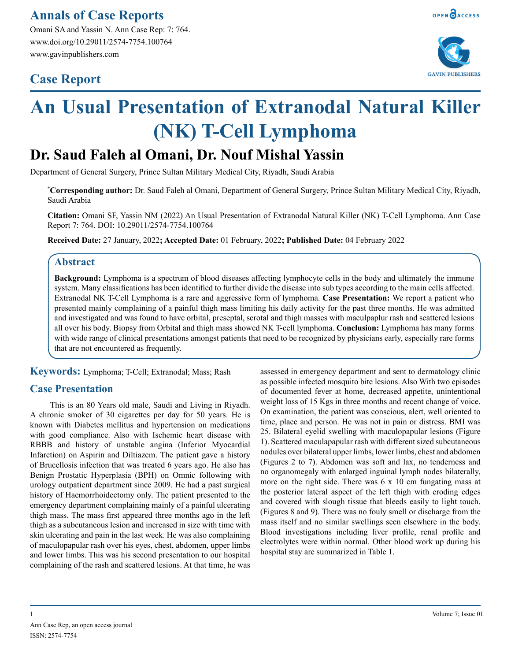Omani SA and Yassin N. Ann Case Rep: 7: 764. www.doi.org/10.29011/2574-7754.100764 www.gavinpublishers.com

# **Case Report**



# **An Usual Presentation of Extranodal Natural Killer (NK) T-Cell Lymphoma**

# **Dr. Saud Faleh al Omani, Dr. Nouf Mishal Yassin**

Department of General Surgery, Prince Sultan Military Medical City, Riyadh, Saudi Arabia

**\* Corresponding author:** Dr. Saud Faleh al Omani, Department of General Surgery, Prince Sultan Military Medical City, Riyadh, Saudi Arabia

**Citation:** Omani SF, Yassin NM (2022) An Usual Presentation of Extranodal Natural Killer (NK) T-Cell Lymphoma. Ann Case Report 7: 764. DOI: 10.29011/2574-7754.100764

**Received Date:** 27 January, 2022**; Accepted Date:** 01 February, 2022**; Published Date:** 04 February 2022

# **Abstract**

**Background:** Lymphoma is a spectrum of blood diseases affecting lymphocyte cells in the body and ultimately the immune system. Many classifications has been identified to further divide the disease into sub types according to the main cells affected. Extranodal NK T-Cell Lymphoma is a rare and aggressive form of lymphoma. **Case Presentation:** We report a patient who presented mainly complaining of a painful thigh mass limiting his daily activity for the past three months. He was admitted and investigated and was found to have orbital, preseptal, scrotal and thigh masses with maculpaplur rash and scattered lesions all over his body. Biopsy from Orbital and thigh mass showed NK T-cell lymphoma. **Conclusion:** Lymphoma has many forms with wide range of clinical presentations amongst patients that need to be recognized by physicians early, especially rare forms that are not encountered as frequently.

**Keywords:** Lymphoma; T-Cell; Extranodal; Mass; Rash

# **Case Presentation**

This is an 80 Years old male, Saudi and Living in Riyadh. A chronic smoker of 30 cigarettes per day for 50 years. He is known with Diabetes mellitus and hypertension on medications with good compliance. Also with Ischemic heart disease with RBBB and history of unstable angina (Inferior Myocardial Infarction) on Aspirin and Diltiazem. The patient gave a history of Brucellosis infection that was treated 6 years ago. He also has Benign Prostatic Hyperplasia (BPH) on Omnic following with urology outpatient department since 2009. He had a past surgical history of Haemorrhoidectomy only. The patient presented to the emergency department complaining mainly of a painful ulcerating thigh mass. The mass first appeared three months ago in the left thigh as a subcutaneous lesion and increased in size with time with skin ulcerating and pain in the last week. He was also complaining of maculopapular rash over his eyes, chest, abdomen, upper limbs and lower limbs. This was his second presentation to our hospital complaining of the rash and scattered lesions. At that time, he was

assessed in emergency department and sent to dermatology clinic as possible infected mosquito bite lesions. Also With two episodes of documented fever at home, decreased appetite, unintentional weight loss of 15 Kgs in three months and recent change of voice. On examination, the patient was conscious, alert, well oriented to time, place and person. He was not in pain or distress. BMI was 25. Bilateral eyelid swelling with maculopapular lesions (Figure 1). Scattered maculapapular rash with different sized subcutaneous nodules over bilateral upper limbs, lower limbs, chest and abdomen (Figures 2 to 7). Abdomen was soft and lax, no tenderness and no organomegaly with enlarged inguinal lymph nodes bilaterally, more on the right side. There was 6 x 10 cm fungating mass at the posterior lateral aspect of the left thigh with eroding edges and covered with slough tissue that bleeds easily to light touch. (Figures 8 and 9). There was no fouly smell or discharge from the mass itself and no similar swellings seen elsewhere in the body. Blood investigations including liver profile, renal profile and electrolytes were within normal. Other blood work up during his hospital stay are summarized in Table 1.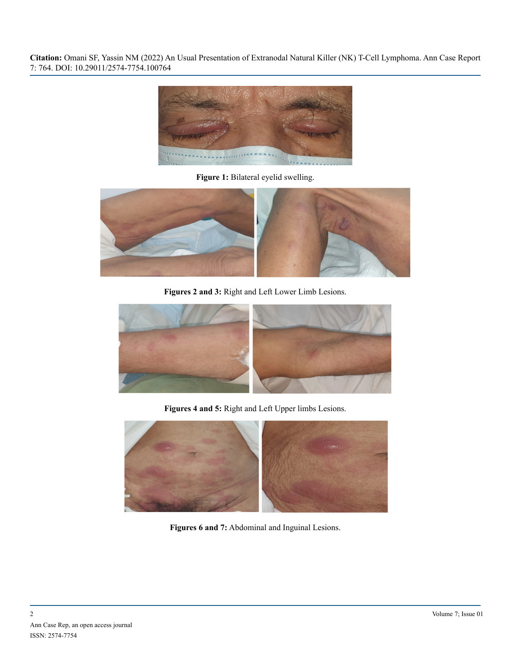

**Figure 1:** Bilateral eyelid swelling.



**Figures 2 and 3:** Right and Left Lower Limb Lesions.



**Figures 4 and 5:** Right and Left Upper limbs Lesions.



**Figures 6 and 7:** Abdominal and Inguinal Lesions.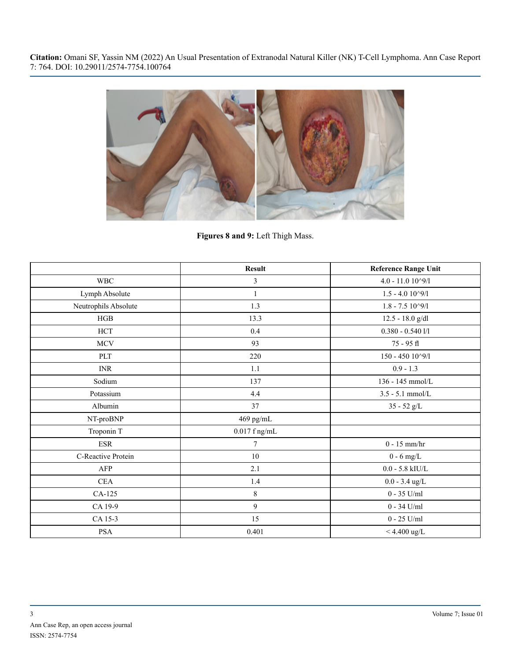

**Figures 8 and 9:** Left Thigh Mass.

|                      | <b>Result</b>   | <b>Reference Range Unit</b> |
|----------------------|-----------------|-----------------------------|
| $\operatorname{WBC}$ | 3               | $4.0 - 11.0$ $10^9/1$       |
| Lymph Absolute       | $\mathbf{1}$    | $1.5 - 4.010^{9}/1$         |
| Neutrophils Absolute | 1.3             | $1.8 - 7.5 10^{9}/1$        |
| HGB                  | 13.3            | 12.5 - 18.0 g/dl            |
| $\rm HCT$            | 0.4             | $0.380 - 0.5401/1$          |
| $\operatorname{MCV}$ | 93              | 75 - 95 fl                  |
| PLT                  | 220             | $150 - 450$ $10^{\circ}9/1$ |
| <b>INR</b>           | 1.1             | $0.9 - 1.3$                 |
| Sodium               | 137             | 136 - 145 mmol/L            |
| Potassium            | 4.4             | $3.5 - 5.1$ mmol/L          |
| Albumin              | 37              | $35 - 52$ $g/L$             |
| NT-proBNP            | 469 pg/mL       |                             |
| Troponin T           | $0.017$ f ng/mL |                             |
| <b>ESR</b>           | 7               | $0 - 15$ mm/hr              |
| C-Reactive Protein   | 10              | $0 - 6$ mg/L                |
| <b>AFP</b>           | 2.1             | $0.0$ - $5.8$ kIU/L         |
| <b>CEA</b>           | 1.4             | $0.0 - 3.4$ ug/L            |
| CA-125               | 8               | $0 - 35$ U/ml               |
| CA 19-9              | 9               | $0 - 34$ U/ml               |
| CA 15-3              | 15              | $0$ - $25$ U/ml $\,$        |
| PSA                  | 0.401           | $< 4.400$ ug/L              |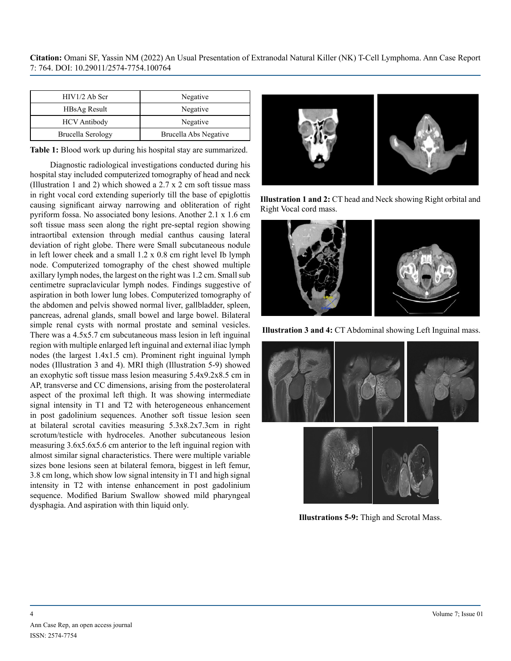| $HIV1/2$ Ab Scr     | Negative              |
|---------------------|-----------------------|
| <b>HBsAg Result</b> | Negative              |
| <b>HCV</b> Antibody | Negative              |
| Brucella Serology   | Brucella Abs Negative |

**Table 1:** Blood work up during his hospital stay are summarized.

Diagnostic radiological investigations conducted during his hospital stay included computerized tomography of head and neck (Illustration 1 and 2) which showed a 2.7 x 2 cm soft tissue mass in right vocal cord extending superiorly till the base of epiglottis causing significant airway narrowing and obliteration of right pyriform fossa. No associated bony lesions. Another 2.1 x 1.6 cm soft tissue mass seen along the right pre-septal region showing intraortibal extension through medial canthus causing lateral deviation of right globe. There were Small subcutaneous nodule in left lower cheek and a small 1.2 x 0.8 cm right level Ib lymph node. Computerized tomography of the chest showed multiple axillary lymph nodes, the largest on the right was 1.2 cm. Small sub centimetre supraclavicular lymph nodes. Findings suggestive of aspiration in both lower lung lobes. Computerized tomography of the abdomen and pelvis showed normal liver, gallbladder, spleen, pancreas, adrenal glands, small bowel and large bowel. Bilateral simple renal cysts with normal prostate and seminal vesicles. There was a 4.5x5.7 cm subcutaneous mass lesion in left inguinal region with multiple enlarged left inguinal and external iliac lymph nodes (the largest 1.4x1.5 cm). Prominent right inguinal lymph nodes (Illustration 3 and 4). MRI thigh (Illustration 5-9) showed an exophytic soft tissue mass lesion measuring 5.4x9.2x8.5 cm in AP, transverse and CC dimensions, arising from the posterolateral aspect of the proximal left thigh. It was showing intermediate signal intensity in T1 and T2 with heterogeneous enhancement in post gadolinium sequences. Another soft tissue lesion seen at bilateral scrotal cavities measuring 5.3x8.2x7.3cm in right scrotum/testicle with hydroceles. Another subcutaneous lesion measuring 3.6x5.6x5.6 cm anterior to the left inguinal region with almost similar signal characteristics. There were multiple variable sizes bone lesions seen at bilateral femora, biggest in left femur, 3.8 cm long, which show low signal intensity in T1 and high signal intensity in T2 with intense enhancement in post gadolinium sequence. Modified Barium Swallow showed mild pharyngeal dysphagia. And aspiration with thin liquid only.



**Illustration 1 and 2:** CT head and Neck showing Right orbital and Right Vocal cord mass.



**Illustration 3 and 4:** CT Abdominal showing Left Inguinal mass.



**Illustrations 5-9:** Thigh and Scrotal Mass.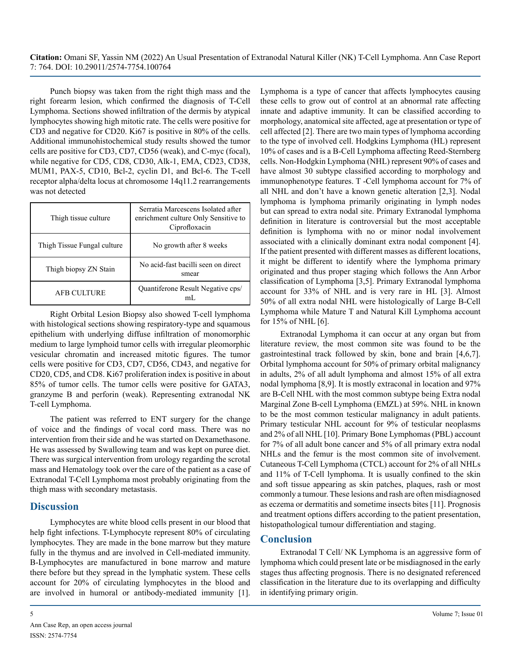Punch biopsy was taken from the right thigh mass and the right forearm lesion, which confirmed the diagnosis of T-Cell Lymphoma. Sections showed infiltration of the dermis by atypical lymphocytes showing high mitotic rate. The cells were positive for CD3 and negative for CD20. Ki67 is positive in 80% of the cells. Additional immunohistochemical study results showed the tumor cells are positive for CD3, CD7, CD56 (weak), and C-myc (focal), while negative for CD5, CD8, CD30, Alk-1, EMA, CD23, CD38, MUM1, PAX-5, CD10, Bcl-2, cyclin D1, and Bcl-6. The T-cell receptor alpha/delta locus at chromosome 14q11.2 rearrangements was not detected

| Thigh tissue culture        | Serratia Marcescens Isolated after<br>enrichment culture Only Sensitive to<br>Ciprofloxacin |
|-----------------------------|---------------------------------------------------------------------------------------------|
| Thigh Tissue Fungal culture | No growth after 8 weeks                                                                     |
| Thigh biopsy ZN Stain       | No acid-fast bacilli seen on direct<br>smear                                                |
| <b>AFB CULTURE</b>          | Quantiferone Result Negative cps/<br>mL                                                     |

Right Orbital Lesion Biopsy also showed T-cell lymphoma with histological sections showing respiratory-type and squamous epithelium with underlying diffuse infiltration of monomorphic medium to large lymphoid tumor cells with irregular pleomorphic vesicular chromatin and increased mitotic figures. The tumor cells were positive for CD3, CD7, CD56, CD43, and negative for CD20, CD5, and CD8. Ki67 proliferation index is positive in about 85% of tumor cells. The tumor cells were positive for GATA3, granzyme B and perforin (weak). Representing extranodal NK T-cell Lymphoma.

The patient was referred to ENT surgery for the change of voice and the findings of vocal cord mass. There was no intervention from their side and he was started on Dexamethasone. He was assessed by Swallowing team and was kept on puree diet. There was surgical intervention from urology regarding the scrotal mass and Hematology took over the care of the patient as a case of Extranodal T-Cell Lymphoma most probably originating from the thigh mass with secondary metastasis.

# **Discussion**

Lymphocytes are white blood cells present in our blood that help fight infections. T-Lymphocyte represent 80% of circulating lymphocytes. They are made in the bone marrow but they mature fully in the thymus and are involved in Cell-mediated immunity. B-Lymphocytes are manufactured in bone marrow and mature there before but they spread in the lymphatic system. These cells account for 20% of circulating lymphocytes in the blood and are involved in humoral or antibody-mediated immunity [1].

Lymphoma is a type of cancer that affects lymphocytes causing these cells to grow out of control at an abnormal rate affecting innate and adaptive immunity. It can be classified according to morphology, anatomical site affected, age at presentation or type of cell affected [2]. There are two main types of lymphoma according to the type of involved cell. Hodgkins Lymphoma (HL) represent 10% of cases and is a B-Cell Lymphoma affecting Reed-Sternberg cells. Non-Hodgkin Lymphoma (NHL) represent 90% of cases and have almost 30 subtype classified according to morphology and immunophenotype features. T -Cell lymphoma account for 7% of all NHL and don't have a known genetic alteration [2,3]. Nodal lymphoma is lymphoma primarily originating in lymph nodes but can spread to extra nodal site. Primary Extranodal lymphoma definition in literature is controversial but the most acceptable definition is lymphoma with no or minor nodal involvement associated with a clinically dominant extra nodal component [4]. If the patient presented with different masses as different locations, it might be different to identify where the lymphoma primary originated and thus proper staging which follows the Ann Arbor classification of Lymphoma [3,5]. Primary Extranodal lymphoma account for 33% of NHL and is very rare in HL [3]. Almost 50% of all extra nodal NHL were histologically of Large B-Cell Lymphoma while Mature T and Natural Kill Lymphoma account for 15% of NHL [6].

Extranodal Lymphoma it can occur at any organ but from literature review, the most common site was found to be the gastrointestinal track followed by skin, bone and brain [4,6,7]. Orbital lymphoma account for 50% of primary orbital malignancy in adults, 2% of all adult lymphoma and almost 15% of all extra nodal lymphoma [8,9]. It is mostly extraconal in location and 97% are B-Cell NHL with the most common subtype being Extra nodal Marginal Zone B-cell Lymphoma (EMZL) at 59%. NHL in known to be the most common testicular malignancy in adult patients. Primary testicular NHL account for 9% of testicular neoplasms and 2% of all NHL [10]. Primary Bone Lymphomas (PBL) account for 7% of all adult bone cancer and 5% of all primary extra nodal NHLs and the femur is the most common site of involvement. Cutaneous T-Cell Lymphoma (CTCL) account for 2% of all NHLs and 11% of T-Cell lymphoma. It is usually confined to the skin and soft tissue appearing as skin patches, plaques, rash or most commonly a tumour. These lesions and rash are often misdiagnosed as eczema or dermatitis and sometime insects bites [11]. Prognosis and treatment options differs according to the patient presentation, histopathological tumour differentiation and staging.

# **Conclusion**

Extranodal T Cell/ NK Lymphoma is an aggressive form of lymphoma which could present late or be misdiagnosed in the early stages thus affecting prognosis. There is no designated referenced classification in the literature due to its overlapping and difficulty in identifying primary origin.